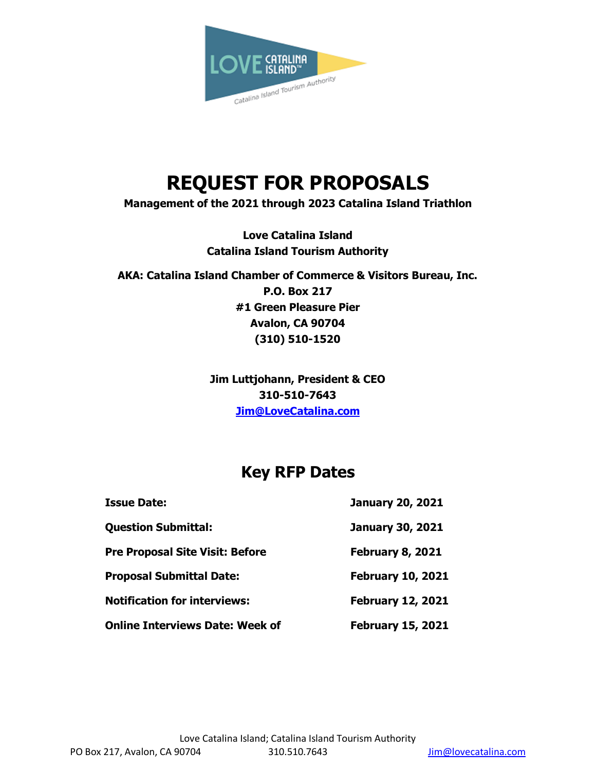

# **REQUEST FOR PROPOSALS**

# **Management of the 2021 through 2023 Catalina Island Triathlon**

**Love Catalina Island Catalina Island Tourism Authority**

**AKA: Catalina Island Chamber of Commerce & Visitors Bureau, Inc. P.O. Box 217 #1 Green Pleasure Pier Avalon, CA 90704 (310) 510-1520**

> **Jim Luttjohann, President & CEO 310-510-7643 [Jim@LoveCatalina.com](mailto:Jim@LoveCatalina.com)**

# **Key RFP Dates**

| <b>Issue Date:</b>                     | <b>January 20, 2021</b>  |
|----------------------------------------|--------------------------|
| <b>Question Submittal:</b>             | <b>January 30, 2021</b>  |
| <b>Pre Proposal Site Visit: Before</b> | <b>February 8, 2021</b>  |
| <b>Proposal Submittal Date:</b>        | <b>February 10, 2021</b> |
| <b>Notification for interviews:</b>    | <b>February 12, 2021</b> |
| <b>Online Interviews Date: Week of</b> | <b>February 15, 2021</b> |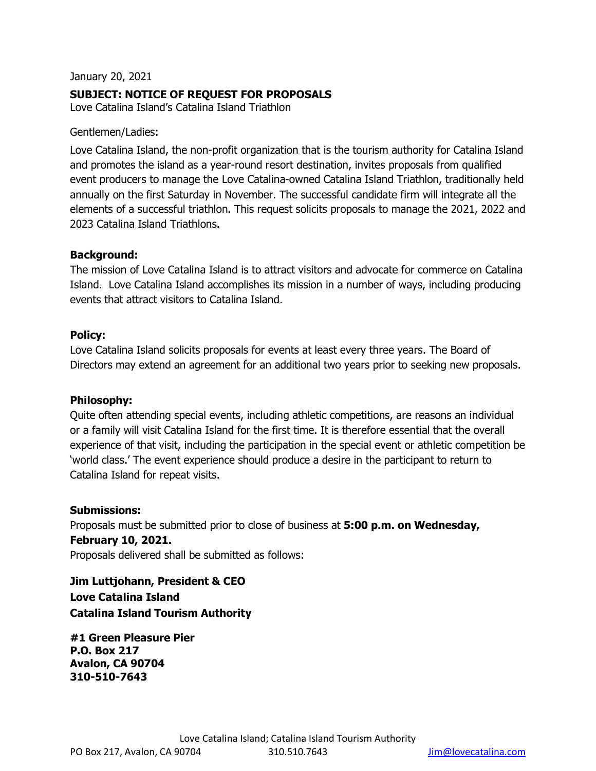January 20, 2021

# **SUBJECT: NOTICE OF REQUEST FOR PROPOSALS**

Love Catalina Island's Catalina Island Triathlon

# Gentlemen/Ladies:

Love Catalina Island, the non-profit organization that is the tourism authority for Catalina Island and promotes the island as a year-round resort destination, invites proposals from qualified event producers to manage the Love Catalina-owned Catalina Island Triathlon, traditionally held annually on the first Saturday in November. The successful candidate firm will integrate all the elements of a successful triathlon. This request solicits proposals to manage the 2021, 2022 and 2023 Catalina Island Triathlons.

# **Background:**

The mission of Love Catalina Island is to attract visitors and advocate for commerce on Catalina Island. Love Catalina Island accomplishes its mission in a number of ways, including producing events that attract visitors to Catalina Island.

# **Policy:**

Love Catalina Island solicits proposals for events at least every three years. The Board of Directors may extend an agreement for an additional two years prior to seeking new proposals.

## **Philosophy:**

Quite often attending special events, including athletic competitions, are reasons an individual or a family will visit Catalina Island for the first time. It is therefore essential that the overall experience of that visit, including the participation in the special event or athletic competition be 'world class.' The event experience should produce a desire in the participant to return to Catalina Island for repeat visits.

## **Submissions:**

Proposals must be submitted prior to close of business at **5:00 p.m. on Wednesday, February 10, 2021.**  Proposals delivered shall be submitted as follows:

**Jim Luttjohann, President & CEO Love Catalina Island Catalina Island Tourism Authority**

**#1 Green Pleasure Pier P.O. Box 217 Avalon, CA 90704 310-510-7643** 

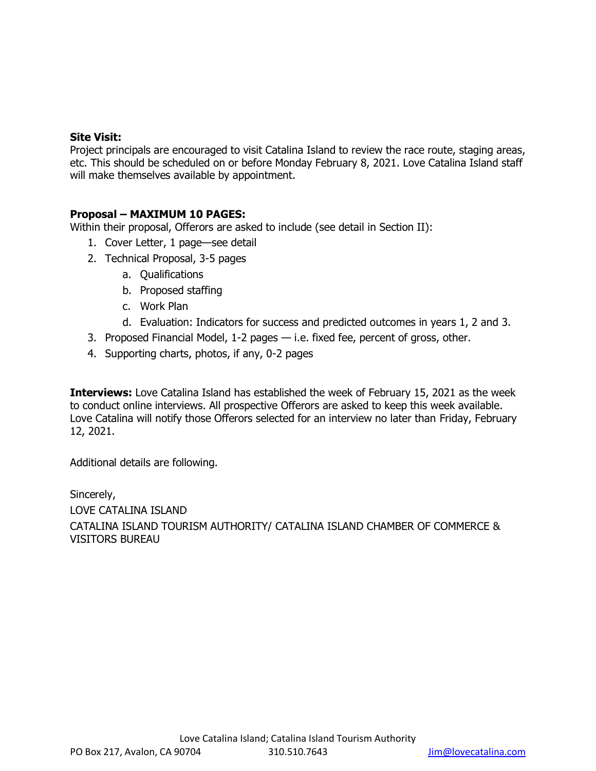# **Site Visit:**

Project principals are encouraged to visit Catalina Island to review the race route, staging areas, etc. This should be scheduled on or before Monday February 8, 2021. Love Catalina Island staff will make themselves available by appointment.

# **Proposal – MAXIMUM 10 PAGES:**

Within their proposal, Offerors are asked to include (see detail in Section II):

- 1. Cover Letter, 1 page—see detail
- 2. Technical Proposal, 3-5 pages
	- a. Qualifications
	- b. Proposed staffing
	- c. Work Plan
	- d. Evaluation: Indicators for success and predicted outcomes in years 1, 2 and 3.
- 3. Proposed Financial Model, 1-2 pages i.e. fixed fee, percent of gross, other.
- 4. Supporting charts, photos, if any, 0-2 pages

**Interviews:** Love Catalina Island has established the week of February 15, 2021 as the week to conduct online interviews. All prospective Offerors are asked to keep this week available. Love Catalina will notify those Offerors selected for an interview no later than Friday, February 12, 2021.

Additional details are following.

Sincerely,

LOVE CATALINA ISLAND

CATALINA ISLAND TOURISM AUTHORITY/ CATALINA ISLAND CHAMBER OF COMMERCE & VISITORS BUREAU

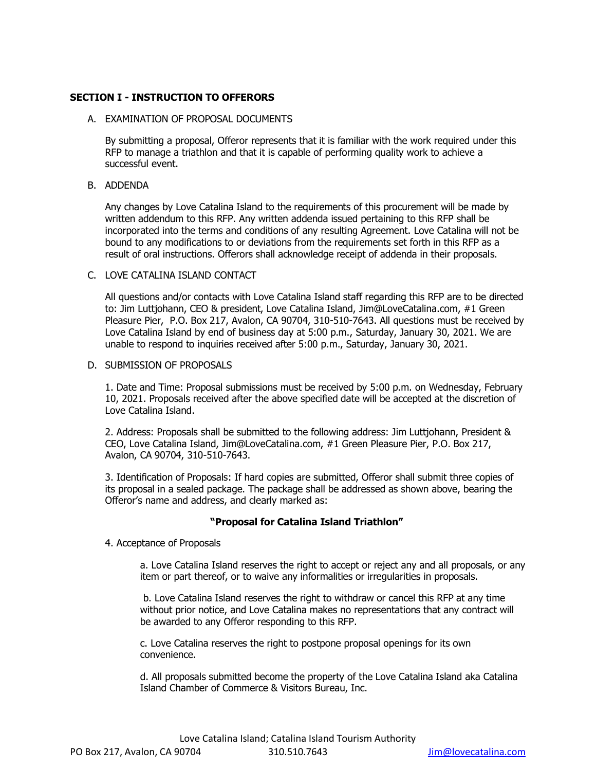#### **SECTION I - INSTRUCTION TO OFFERORS**

#### A. EXAMINATION OF PROPOSAL DOCUMENTS

By submitting a proposal, Offeror represents that it is familiar with the work required under this RFP to manage a triathlon and that it is capable of performing quality work to achieve a successful event.

#### B. ADDENDA

Any changes by Love Catalina Island to the requirements of this procurement will be made by written addendum to this RFP. Any written addenda issued pertaining to this RFP shall be incorporated into the terms and conditions of any resulting Agreement. Love Catalina will not be bound to any modifications to or deviations from the requirements set forth in this RFP as a result of oral instructions. Offerors shall acknowledge receipt of addenda in their proposals.

#### C. LOVE CATALINA ISLAND CONTACT

All questions and/or contacts with Love Catalina Island staff regarding this RFP are to be directed to: Jim Luttjohann, CEO & president, Love Catalina Island, Jim@LoveCatalina.com, #1 Green Pleasure Pier, P.O. Box 217, Avalon, CA 90704, 310-510-7643. All questions must be received by Love Catalina Island by end of business day at 5:00 p.m., Saturday, January 30, 2021. We are unable to respond to inquiries received after 5:00 p.m., Saturday, January 30, 2021.

#### D. SUBMISSION OF PROPOSALS

1. Date and Time: Proposal submissions must be received by 5:00 p.m. on Wednesday, February 10, 2021. Proposals received after the above specified date will be accepted at the discretion of Love Catalina Island.

2. Address: Proposals shall be submitted to the following address: Jim Luttjohann, President & CEO, Love Catalina Island, Jim@LoveCatalina.com, #1 Green Pleasure Pier, P.O. Box 217, Avalon, CA 90704, 310-510-7643.

3. Identification of Proposals: If hard copies are submitted, Offeror shall submit three copies of its proposal in a sealed package. The package shall be addressed as shown above, bearing the Offeror's name and address, and clearly marked as:

#### **"Proposal for Catalina Island Triathlon"**

4. Acceptance of Proposals

a. Love Catalina Island reserves the right to accept or reject any and all proposals, or any item or part thereof, or to waive any informalities or irregularities in proposals.

b. Love Catalina Island reserves the right to withdraw or cancel this RFP at any time without prior notice, and Love Catalina makes no representations that any contract will be awarded to any Offeror responding to this RFP.

c. Love Catalina reserves the right to postpone proposal openings for its own convenience.

d. All proposals submitted become the property of the Love Catalina Island aka Catalina Island Chamber of Commerce & Visitors Bureau, Inc.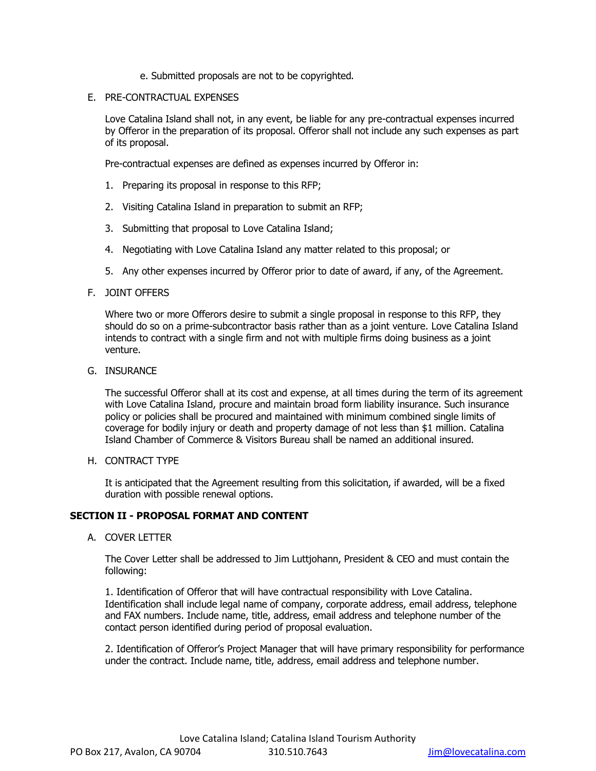- e. Submitted proposals are not to be copyrighted.
- E. PRE-CONTRACTUAL EXPENSES

Love Catalina Island shall not, in any event, be liable for any pre-contractual expenses incurred by Offeror in the preparation of its proposal. Offeror shall not include any such expenses as part of its proposal.

Pre-contractual expenses are defined as expenses incurred by Offeror in:

- 1. Preparing its proposal in response to this RFP;
- 2. Visiting Catalina Island in preparation to submit an RFP;
- 3. Submitting that proposal to Love Catalina Island;
- 4. Negotiating with Love Catalina Island any matter related to this proposal; or
- 5. Any other expenses incurred by Offeror prior to date of award, if any, of the Agreement.
- F. JOINT OFFERS

Where two or more Offerors desire to submit a single proposal in response to this RFP, they should do so on a prime-subcontractor basis rather than as a joint venture. Love Catalina Island intends to contract with a single firm and not with multiple firms doing business as a joint venture.

G. INSURANCE

The successful Offeror shall at its cost and expense, at all times during the term of its agreement with Love Catalina Island, procure and maintain broad form liability insurance. Such insurance policy or policies shall be procured and maintained with minimum combined single limits of coverage for bodily injury or death and property damage of not less than \$1 million. Catalina Island Chamber of Commerce & Visitors Bureau shall be named an additional insured.

H. CONTRACT TYPE

It is anticipated that the Agreement resulting from this solicitation, if awarded, will be a fixed duration with possible renewal options.

#### **SECTION II - PROPOSAL FORMAT AND CONTENT**

A. COVER LETTER

The Cover Letter shall be addressed to Jim Luttjohann, President & CEO and must contain the following:

1. Identification of Offeror that will have contractual responsibility with Love Catalina. Identification shall include legal name of company, corporate address, email address, telephone and FAX numbers. Include name, title, address, email address and telephone number of the contact person identified during period of proposal evaluation.

2. Identification of Offeror's Project Manager that will have primary responsibility for performance under the contract. Include name, title, address, email address and telephone number.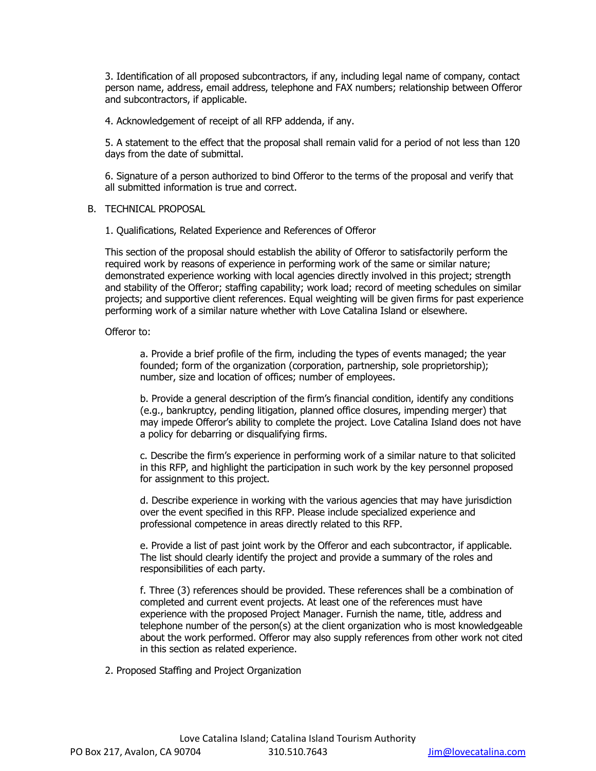3. Identification of all proposed subcontractors, if any, including legal name of company, contact person name, address, email address, telephone and FAX numbers; relationship between Offeror and subcontractors, if applicable.

4. Acknowledgement of receipt of all RFP addenda, if any.

5. A statement to the effect that the proposal shall remain valid for a period of not less than 120 days from the date of submittal.

6. Signature of a person authorized to bind Offeror to the terms of the proposal and verify that all submitted information is true and correct.

#### B. TECHNICAL PROPOSAL

1. Qualifications, Related Experience and References of Offeror

This section of the proposal should establish the ability of Offeror to satisfactorily perform the required work by reasons of experience in performing work of the same or similar nature; demonstrated experience working with local agencies directly involved in this project; strength and stability of the Offeror; staffing capability; work load; record of meeting schedules on similar projects; and supportive client references. Equal weighting will be given firms for past experience performing work of a similar nature whether with Love Catalina Island or elsewhere.

#### Offeror to:

a. Provide a brief profile of the firm, including the types of events managed; the year founded; form of the organization (corporation, partnership, sole proprietorship); number, size and location of offices; number of employees.

b. Provide a general description of the firm's financial condition, identify any conditions (e.g., bankruptcy, pending litigation, planned office closures, impending merger) that may impede Offeror's ability to complete the project. Love Catalina Island does not have a policy for debarring or disqualifying firms.

c. Describe the firm's experience in performing work of a similar nature to that solicited in this RFP, and highlight the participation in such work by the key personnel proposed for assignment to this project.

d. Describe experience in working with the various agencies that may have jurisdiction over the event specified in this RFP. Please include specialized experience and professional competence in areas directly related to this RFP.

e. Provide a list of past joint work by the Offeror and each subcontractor, if applicable. The list should clearly identify the project and provide a summary of the roles and responsibilities of each party.

f. Three (3) references should be provided. These references shall be a combination of completed and current event projects. At least one of the references must have experience with the proposed Project Manager. Furnish the name, title, address and telephone number of the person(s) at the client organization who is most knowledgeable about the work performed. Offeror may also supply references from other work not cited in this section as related experience.

2. Proposed Staffing and Project Organization